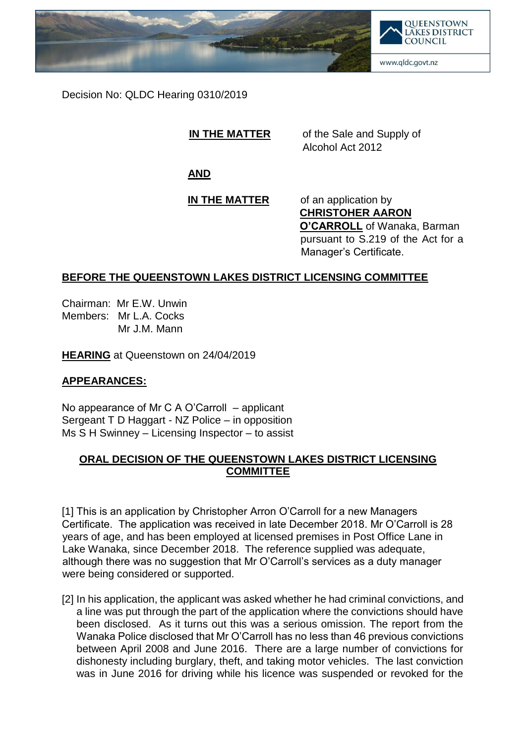

Decision No: QLDC Hearing 0310/2019

**IN THE MATTER** of the Sale and Supply of Alcohol Act 2012

**AND**

### **IN THE MATTER** of an application by **CHRISTOHER AARON O'CARROLL** of Wanaka, Barman pursuant to S.219 of the Act for a Manager's Certificate.

# **BEFORE THE QUEENSTOWN LAKES DISTRICT LICENSING COMMITTEE**

Chairman: Mr E.W. Unwin Members: Mr L.A. Cocks Mr J.M. Mann

**HEARING** at Queenstown on 24/04/2019

## **APPEARANCES:**

No appearance of Mr C A O'Carroll – applicant Sergeant T D Haggart - NZ Police – in opposition Ms S H Swinney – Licensing Inspector – to assist

## **ORAL DECISION OF THE QUEENSTOWN LAKES DISTRICT LICENSING COMMITTEE**

[1] This is an application by Christopher Arron O'Carroll for a new Managers Certificate. The application was received in late December 2018. Mr O'Carroll is 28 years of age, and has been employed at licensed premises in Post Office Lane in Lake Wanaka, since December 2018. The reference supplied was adequate, although there was no suggestion that Mr O'Carroll's services as a duty manager were being considered or supported.

[2] In his application, the applicant was asked whether he had criminal convictions, and a line was put through the part of the application where the convictions should have been disclosed. As it turns out this was a serious omission. The report from the Wanaka Police disclosed that Mr O'Carroll has no less than 46 previous convictions between April 2008 and June 2016. There are a large number of convictions for dishonesty including burglary, theft, and taking motor vehicles. The last conviction was in June 2016 for driving while his licence was suspended or revoked for the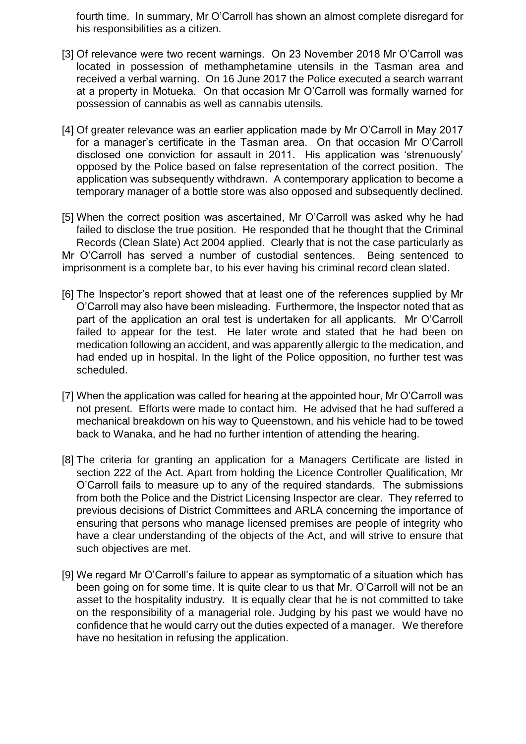fourth time. In summary, Mr O'Carroll has shown an almost complete disregard for his responsibilities as a citizen.

- [3] Of relevance were two recent warnings. On 23 November 2018 Mr O'Carroll was located in possession of methamphetamine utensils in the Tasman area and received a verbal warning. On 16 June 2017 the Police executed a search warrant at a property in Motueka. On that occasion Mr O'Carroll was formally warned for possession of cannabis as well as cannabis utensils.
- [4] Of greater relevance was an earlier application made by Mr O'Carroll in May 2017 for a manager's certificate in the Tasman area. On that occasion Mr O'Carroll disclosed one conviction for assault in 2011. His application was 'strenuously' opposed by the Police based on false representation of the correct position. The application was subsequently withdrawn. A contemporary application to become a temporary manager of a bottle store was also opposed and subsequently declined.

[5] When the correct position was ascertained, Mr O'Carroll was asked why he had failed to disclose the true position. He responded that he thought that the Criminal Records (Clean Slate) Act 2004 applied. Clearly that is not the case particularly as Mr O'Carroll has served a number of custodial sentences. Being sentenced to imprisonment is a complete bar, to his ever having his criminal record clean slated.

- [6] The Inspector's report showed that at least one of the references supplied by Mr O'Carroll may also have been misleading. Furthermore, the Inspector noted that as part of the application an oral test is undertaken for all applicants. Mr O'Carroll failed to appear for the test. He later wrote and stated that he had been on medication following an accident, and was apparently allergic to the medication, and had ended up in hospital. In the light of the Police opposition, no further test was scheduled.
- [7] When the application was called for hearing at the appointed hour, Mr O'Carroll was not present. Efforts were made to contact him. He advised that he had suffered a mechanical breakdown on his way to Queenstown, and his vehicle had to be towed back to Wanaka, and he had no further intention of attending the hearing.
- [8] The criteria for granting an application for a Managers Certificate are listed in section 222 of the Act. Apart from holding the Licence Controller Qualification, Mr O'Carroll fails to measure up to any of the required standards. The submissions from both the Police and the District Licensing Inspector are clear. They referred to previous decisions of District Committees and ARLA concerning the importance of ensuring that persons who manage licensed premises are people of integrity who have a clear understanding of the objects of the Act, and will strive to ensure that such objectives are met.
- [9] We regard Mr O'Carroll's failure to appear as symptomatic of a situation which has been going on for some time. It is quite clear to us that Mr. O'Carroll will not be an asset to the hospitality industry. It is equally clear that he is not committed to take on the responsibility of a managerial role. Judging by his past we would have no confidence that he would carry out the duties expected of a manager. We therefore have no hesitation in refusing the application.